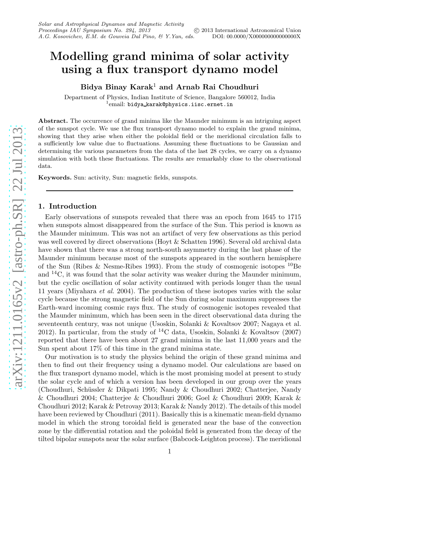# Modelling grand minima of solar activity using a flux transport dynamo model

Bidya Binay Karak<sup>1</sup> and Arnab Rai Choudhuri

Department of Physics, Indian Institute of Science, Bangalore 560012, India <sup>1</sup>email: bidya\_karak@physics.iisc.ernet.in

Abstract. The occurrence of grand minima like the Maunder minimum is an intriguing aspect of the sunspot cycle. We use the flux transport dynamo model to explain the grand minima, showing that they arise when either the poloidal field or the meridional circulation falls to a sufficiently low value due to fluctuations. Assuming these fluctuations to be Gaussian and determining the various parameters from the data of the last 28 cycles, we carry on a dynamo simulation with both these fluctuations. The results are remarkably close to the observational data.

Keywords. Sun: activity, Sun: magnetic fields, sunspots.

#### 1. Introduction

Early observations of sunspots revealed that there was an epoch from 1645 to 1715 when sunspots almost disappeared from the surface of the Sun. This period is known as the Maunder minimum. This was not an artifact of very few observations as this period was well covered by direct observations (Hoyt & Schatten 1996). Several old archival data have shown that there was a strong north-south asymmetry during the last phase of the Maunder minimum because most of the sunspots appeared in the southern hemisphere of the Sun (Ribes & Nesme-Ribes 1993). From the study of cosmogenic isotopes <sup>10</sup>Be and  $^{14}$ C, it was found that the solar activity was weaker during the Maunder minimum, but the cyclic oscillation of solar activity continued with periods longer than the usual 11 years (Miyahara et al. 2004). The production of these isotopes varies with the solar cycle because the strong magnetic field of the Sun during solar maximum suppresses the Earth-ward incoming cosmic rays flux. The study of cosmogenic isotopes revealed that the Maunder minimum, which has been seen in the direct observational data during the seventeenth century, was not unique (Usoskin, Solanki & Kovaltsov 2007; Nagaya et al. 2012). In particular, from the study of  ${}^{14}$ C data, Usoskin, Solanki & Kovaltsov (2007) reported that there have been about 27 grand minima in the last 11,000 years and the Sun spent about 17% of this time in the grand minima state.

Our motivation is to study the physics behind the origin of these grand minima and then to find out their frequency using a dynamo model. Our calculations are based on the flux transport dynamo model, which is the most promising model at present to study the solar cycle and of which a version has been developed in our group over the years (Choudhuri, Schüssler & Dikpati 1995; Nandy & Choudhuri 2002; Chatterjee, Nandy & Choudhuri 2004; Chatterjee & Choudhuri 2006; Goel & Choudhuri 2009; Karak & Choudhuri 2012; Karak & Petrovay 2013; Karak & Nandy 2012). The details of this model have been reviewed by Choudhuri (2011). Basically this is a kinematic mean-field dynamo model in which the strong toroidal field is generated near the base of the convection zone by the differential rotation and the poloidal field is generated from the decay of the tilted bipolar sunspots near the solar surface (Babcock-Leighton process). The meridional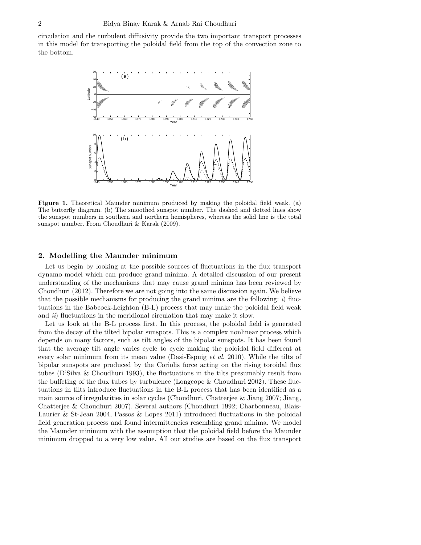circulation and the turbulent diffusivity provide the two important transport processes in this model for transporting the poloidal field from the top of the convection zone to the bottom.



<span id="page-1-0"></span>Figure 1. Theoretical Maunder minimum produced by making the poloidal field weak. (a) The butterfly diagram. (b) The smoothed sunspot number. The dashed and dotted lines show the sunspot numbers in southern and northern hemispheres, whereas the solid line is the total sunspot number. From Choudhuri & Karak (2009).

## 2. Modelling the Maunder minimum

Let us begin by looking at the possible sources of fluctuations in the flux transport dynamo model which can produce grand minima. A detailed discussion of our present understanding of the mechanisms that may cause grand minima has been reviewed by Choudhuri (2012). Therefore we are not going into the same discussion again. We believe that the possible mechanisms for producing the grand minima are the following:  $i$ ) fluctuations in the Babcock-Leighton (B-L) process that may make the poloidal field weak and  $ii)$  fluctuations in the meridional circulation that may make it slow.

Let us look at the B-L process first. In this process, the poloidal field is generated from the decay of the tilted bipolar sunspots. This is a complex nonlinear process which depends on many factors, such as tilt angles of the bipolar sunspots. It has been found that the average tilt angle varies cycle to cycle making the poloidal field different at every solar minimum from its mean value (Dasi-Espuig *et al.* 2010). While the tilts of bipolar sunspots are produced by the Coriolis force acting on the rising toroidal flux tubes (D'Silva & Choudhuri 1993), the fluctuations in the tilts presumably result from the buffeting of the flux tubes by turbulence (Longcope & Choudhuri 2002). These fluctuations in tilts introduce fluctuations in the B-L process that has been identified as a main source of irregularities in solar cycles (Choudhuri, Chatterjee & Jiang 2007; Jiang, Chatterjee & Choudhuri 2007). Several authors (Choudhuri 1992; Charbonneau, Blais-Laurier & St-Jean 2004, Passos & Lopes 2011) introduced fluctuations in the poloidal field generation process and found intermittencies resembling grand minima. We model the Maunder minimum with the assumption that the poloidal field before the Maunder minimum dropped to a very low value. All our studies are based on the flux transport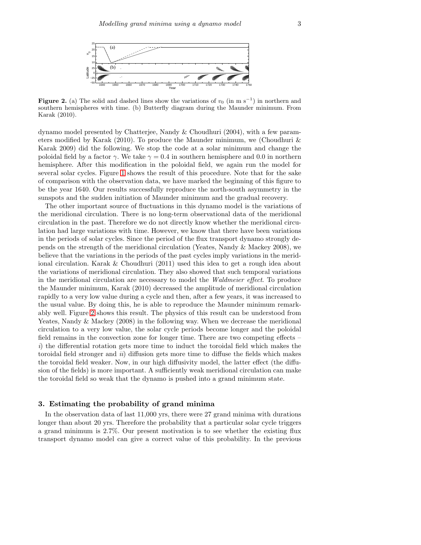

<span id="page-2-0"></span>Figure 2. (a) The solid and dashed lines show the variations of  $v_0$  (in m s<sup>-1</sup>) in northern and southern hemispheres with time. (b) Butterfly diagram during the Maunder minimum. From Karak (2010).

dynamo model presented by Chatterjee, Nandy & Choudhuri (2004), with a few parameters modified by Karak (2010). To produce the Maunder minimum, we (Choudhuri & Karak 2009) did the following. We stop the code at a solar minimum and change the poloidal field by a factor  $\gamma$ . We take  $\gamma = 0.4$  in southern hemisphere and 0.0 in northern hemisphere. After this modification in the poloidal field, we again run the model for several solar cycles. Figure [1](#page-1-0) shows the result of this procedure. Note that for the sake of comparison with the observation data, we have marked the beginning of this figure to be the year 1640. Our results successfully reproduce the north-south asymmetry in the sunspots and the sudden initiation of Maunder minimum and the gradual recovery.

The other important source of fluctuations in this dynamo model is the variations of the meridional circulation. There is no long-term observational data of the meridional circulation in the past. Therefore we do not directly know whether the meridional circulation had large variations with time. However, we know that there have been variations in the periods of solar cycles. Since the period of the flux transport dynamo strongly depends on the strength of the meridional circulation (Yeates, Nandy & Mackey 2008), we believe that the variations in the periods of the past cycles imply variations in the meridional circulation. Karak & Choudhuri (2011) used this idea to get a rough idea about the variations of meridional circulation. They also showed that such temporal variations in the meridional circulation are necessary to model the Waldmeier effect. To produce the Maunder minimum, Karak (2010) decreased the amplitude of meridional circulation rapidly to a very low value during a cycle and then, after a few years, it was increased to the usual value. By doing this, he is able to reproduce the Maunder minimum remarkably well. Figure [2](#page-2-0) shows this result. The physics of this result can be understood from Yeates, Nandy & Mackey (2008) in the following way. When we decrease the meridional circulation to a very low value, the solar cycle periods become longer and the poloidal field remains in the convection zone for longer time. There are two competing effects – i) the differential rotation gets more time to induct the toroidal field which makes the toroidal field stronger and ii) diffusion gets more time to diffuse the fields which makes the toroidal field weaker. Now, in our high diffusivity model, the latter effect (the diffusion of the fields) is more important. A sufficiently weak meridional circulation can make the toroidal field so weak that the dynamo is pushed into a grand minimum state.

## 3. Estimating the probability of grand minima

In the observation data of last 11,000 yrs, there were 27 grand minima with durations longer than about 20 yrs. Therefore the probability that a particular solar cycle triggers a grand minimum is 2.7%. Our present motivation is to see whether the existing flux transport dynamo model can give a correct value of this probability. In the previous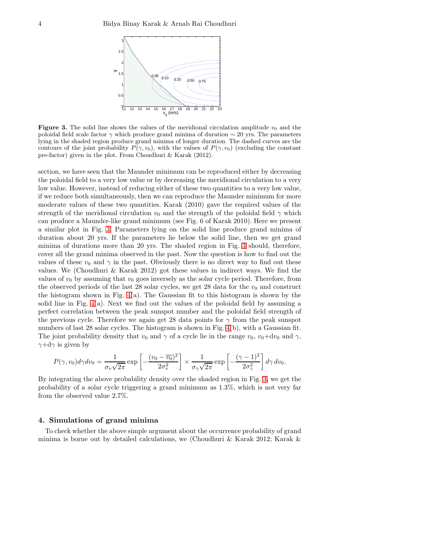

<span id="page-3-0"></span>**Figure 3.** The solid line shows the values of the meridional circulation amplitude  $v_0$  and the poloidal field scale factor  $\gamma$  which produce grand minima of duration  $\sim 20$  yrs. The parameters lying in the shaded region produce grand minima of longer duration. The dashed curves are the contours of the joint probability  $P(\gamma, v_0)$ , with the values of  $P(\gamma, v_0)$  (excluding the constant pre-factor) given in the plot. From Choudhuri & Karak (2012).

section, we have seen that the Maunder minimum can be reproduced either by decreasing the poloidal field to a very low value or by decreasing the meridional circulation to a very low value. However, instead of reducing either of these two quantities to a very low value, if we reduce both simultaneously, then we can reproduce the Maunder minimum for more moderate values of these two quantities. Karak (2010) gave the required values of the strength of the meridional circulation  $v_0$  and the strength of the poloidal field  $\gamma$  which can produce a Maunder-like grand minimum (see Fig. 6 of Karak 2010). Here we present a similar plot in Fig. [3.](#page-3-0) Parameters lying on the solid line produce grand minima of duration about 20 yrs. If the parameters lie below the solid line, then we get grand minima of durations more than 20 yrs. The shaded region in Fig. [3](#page-3-0) should, therefore, cover all the grand minima observed in the past. Now the question is how to find out the values of these  $v_0$  and  $\gamma$  in the past. Obviously there is no direct way to find out these values. We (Choudhuri & Karak 2012) got these values in indirect ways. We find the values of  $v_0$  by assuming that  $v_0$  goes inversely as the solar cycle period. Therefore, from the observed periods of the last 28 solar cycles, we get 28 data for the  $v_0$  and construct the histogram shown in Fig. [4\(](#page-4-0)a). The Gaussian fit to this histogram is shown by the solid line in Fig.  $4(a)$ . Next we find out the values of the poloidal field by assuming a perfect correlation between the peak sunspot number and the poloidal field strength of the previous cycle. Therefore we again get 28 data points for  $\gamma$  from the peak sunspot numbers of last 28 solar cycles. The histogram is shown in Fig. [4\(](#page-4-0)b), with a Gaussian fit. The joint probability density that  $v_0$  and  $\gamma$  of a cycle lie in the range  $v_0$ ,  $v_0+dv_0$  and  $\gamma$ ,  $\gamma + d\gamma$  is given by

$$
P(\gamma, v_0) d\gamma dv_0 = \frac{1}{\sigma_v \sqrt{2\pi}} \exp\left[-\frac{(v_0 - \overline{v_0})^2}{2\sigma_v^2}\right] \times \frac{1}{\sigma_v \sqrt{2\pi}} \exp\left[-\frac{(\gamma - 1)^2}{2\sigma_v^2}\right] d\gamma dv_0.
$$

By integrating the above probability density over the shaded region in Fig. [3,](#page-3-0) we get the probability of a solar cycle triggering a grand minimum as 1.3%, which is not very far from the observed value 2.7%.

# 4. Simulations of grand minima

To check whether the above simple argument about the occurrence probability of grand minima is borne out by detailed calculations, we (Choudhuri & Karak 2012; Karak  $\&$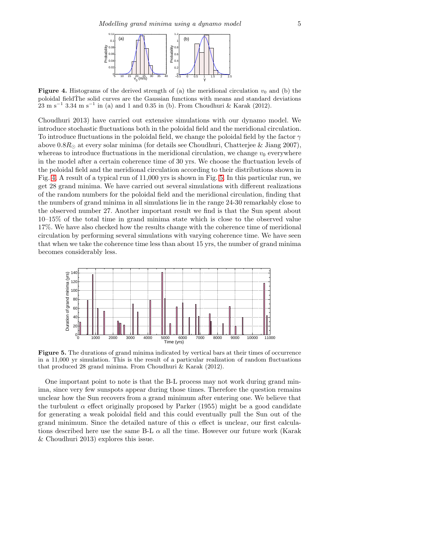

<span id="page-4-0"></span>**Figure 4.** Histograms of the derived strength of (a) the meridional circulation  $v_0$  and (b) the poloidal fieldThe solid curves are the Gaussian functions with means and standard deviations  $23 \text{ m s}^{-1}$  3.34 m s<sup>-1</sup> in (a) and 1 and 0.35 in (b). From Choudhuri & Karak (2012).

Choudhuri 2013) have carried out extensive simulations with our dynamo model. We introduce stochastic fluctuations both in the poloidal field and the meridional circulation. To introduce fluctuations in the poloidal field, we change the poloidal field by the factor  $\gamma$ above  $0.8R_{\odot}$  at every solar minima (for details see Choudhuri, Chatterjee & Jiang 2007), whereas to introduce fluctuations in the meridional circulation, we change  $v_0$  everywhere in the model after a certain coherence time of 30 yrs. We choose the fluctuation levels of the poloidal field and the meridional circulation according to their distributions shown in Fig. [4.](#page-4-0) A result of a typical run of 11,000 yrs is shown in Fig. [5.](#page-4-1) In this particular run, we get 28 grand minima. We have carried out several simulations with different realizations of the random numbers for the poloidal field and the meridional circulation, finding that the numbers of grand minima in all simulations lie in the range 24-30 remarkably close to the observed number 27. Another important result we find is that the Sun spent about 10–15% of the total time in grand minima state which is close to the observed value 17%. We have also checked how the results change with the coherence time of meridional circulation by performing several simulations with varying coherence time. We have seen that when we take the coherence time less than about 15 yrs, the number of grand minima becomes considerably less.



<span id="page-4-1"></span>Figure 5. The durations of grand minima indicated by vertical bars at their times of occurrence in a 11,000 yr simulation. This is the result of a particular realization of random fluctuations that produced 28 grand minima. From Choudhuri & Karak (2012).

One important point to note is that the B-L process may not work during grand minima, since very few sunspots appear during those times. Therefore the question remains unclear how the Sun recovers from a grand minimum after entering one. We believe that the turbulent  $\alpha$  effect originally proposed by Parker (1955) might be a good candidate for generating a weak poloidal field and this could eventually pull the Sun out of the grand minimum. Since the detailed nature of this  $\alpha$  effect is unclear, our first calculations described here use the same B-L  $\alpha$  all the time. However our future work (Karak & Choudhuri 2013) explores this issue.